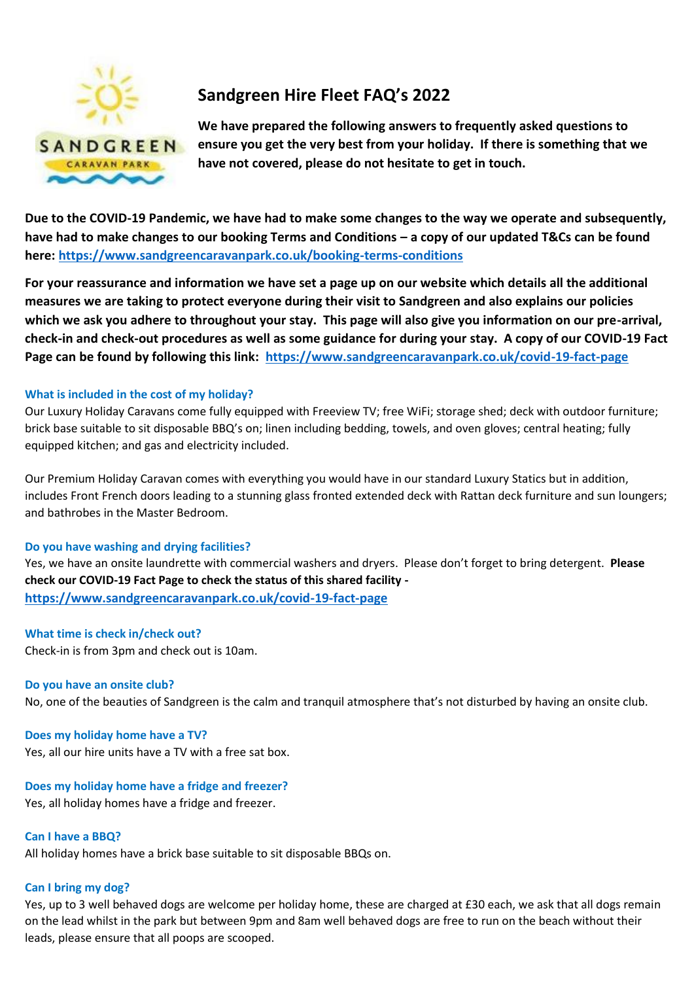

# **Sandgreen Hire Fleet FAQ's 2022**

**We have prepared the following answers to frequently asked questions to ensure you get the very best from your holiday. If there is something that we have not covered, please do not hesitate to get in touch.** 

**Due to the COVID-19 Pandemic, we have had to make some changes to the way we operate and subsequently, have had to make changes to our booking Terms and Conditions – a copy of our updated T&Cs can be found here:<https://www.sandgreencaravanpark.co.uk/booking-terms-conditions>**

**For your reassurance and information we have set a page up on our website which details all the additional measures we are taking to protect everyone during their visit to Sandgreen and also explains our policies which we ask you adhere to throughout your stay. This page will also give you information on our pre-arrival, check-in and check-out procedures as well as some guidance for during your stay. A copy of our COVID-19 Fact Page can be found by following this link: <https://www.sandgreencaravanpark.co.uk/covid-19-fact-page>**

## **What is included in the cost of my holiday?**

Our Luxury Holiday Caravans come fully equipped with Freeview TV; free WiFi; storage shed; deck with outdoor furniture; brick base suitable to sit disposable BBQ's on; linen including bedding, towels, and oven gloves; central heating; fully equipped kitchen; and gas and electricity included.

Our Premium Holiday Caravan comes with everything you would have in our standard Luxury Statics but in addition, includes Front French doors leading to a stunning glass fronted extended deck with Rattan deck furniture and sun loungers; and bathrobes in the Master Bedroom.

## **Do you have washing and drying facilities?**

Yes, we have an onsite laundrette with commercial washers and dryers. Please don't forget to bring detergent. **Please check our COVID-19 Fact Page to check the status of this shared facility <https://www.sandgreencaravanpark.co.uk/covid-19-fact-page>**

## **What time is check in/check out?**

Check-in is from 3pm and check out is 10am.

# **Do you have an onsite club?**

No, one of the beauties of Sandgreen is the calm and tranquil atmosphere that's not disturbed by having an onsite club.

# **Does my holiday home have a TV?**

Yes, all our hire units have a TV with a free sat box.

**Does my holiday home have a fridge and freezer?**  Yes, all holiday homes have a fridge and freezer.

## **Can I have a BBQ?**

All holiday homes have a brick base suitable to sit disposable BBQs on.

# **Can I bring my dog?**

Yes, up to 3 well behaved dogs are welcome per holiday home, these are charged at £30 each, we ask that all dogs remain on the lead whilst in the park but between 9pm and 8am well behaved dogs are free to run on the beach without their leads, please ensure that all poops are scooped.